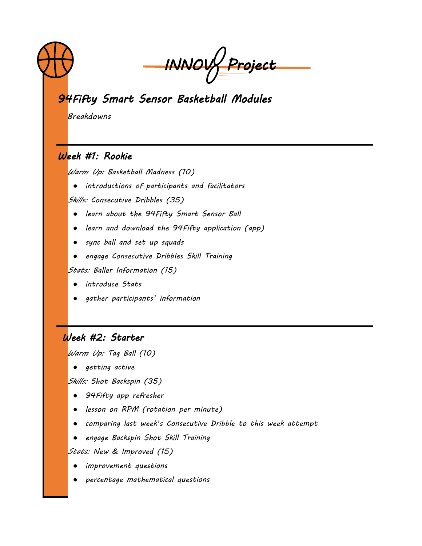

*INNOV Project* 

# *94Fifty Smart Sensor Basketball Modules*

*Breakdowns*

## *Week #1: Rookie*

*Warm Up: Basketball Madness (10)*

● *introductions of participants and facilitators*

*Skills: Consecutive Dribbles (35)*

- *learn about the 94Fifty Smart Sensor Ball*
- *learn and download the 94Fifty application (app)*
- *sync ball and set up squads*
- *engage Consecutive Dribbles Skill Training*

*Stats: Baller Information (15)*

- *introduce Stats*
- *gather participants' information*

## *Week #2: Starter*

*Warm Up: Tag Ball (10)*

● *getting active*

*Skills: Shot Backspin (35)*

- *94Fifty app refresher*
- *lesson on RPM (rotation per minute)*
- *comparing last week's Consecutive Dribble to this week attempt*
- *engage Backspin Shot Skill Training*

*Stats: New & Improved (15)*

- *improvement questions*
- *percentage mathematical questions*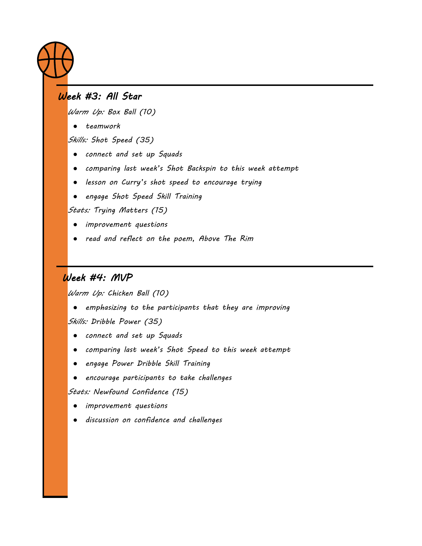

## *Week #3: All Star*

*Warm Up: Box Ball (10)*

● *teamwork*

*Skills: Shot Speed (35)*

- *connect and set up Squads*
- *comparing last week's Shot Backspin to this week attempt*
- *lesson on Curry's shot speed to encourage trying*
- *engage Shot Speed Skill Training*

*Stats: Trying Matters (15)*

- *improvement questions*
- *read and reflect on the poem, Above The Rim*

## *Week #4: MVP*

*Warm Up: Chicken Ball (10)*

● *emphasizing to the participants that they are improving Skills: Dribble Power (35)*

- *connect and set up Squads*
- *comparing last week's Shot Speed to this week attempt*
- *engage Power Dribble Skill Training*
- *encourage participants to take challenges*

*Stats: Newfound Confidence (15)*

● *improvement questions*

● *discussion on confidence and challenges*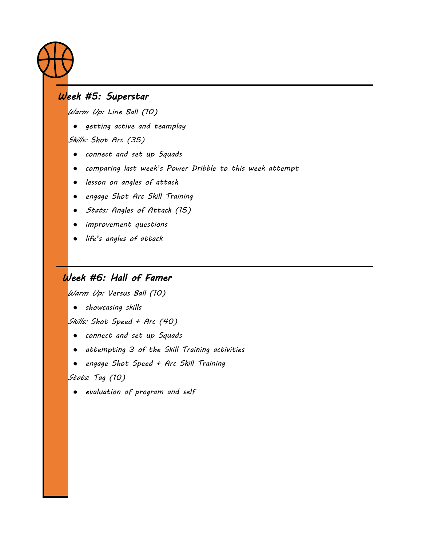

## *Week #5: Superstar*

*Warm Up: Line Ball (10)*

● *getting active and teamplay*

*Skills: Shot Arc (35)*

- *connect and set up Squads*
- *comparing last week's Power Dribble to this week attempt*
- *lesson on angles of attack*
- *engage Shot Arc Skill Training*
- *Stats: Angles of Attack (15)*
- *improvement questions*
- *life's angles of attack*

## *Week #6: Hall of Famer*

*Warm Up: Versus Ball (10)*

● *showcasing skills*

*Skills: Shot Speed + Arc (40)*

- *connect and set up Squads*
- *attempting 3 of the Skill Training activities*
- *engage Shot Speed + Arc Skill Training*

*Stats: Tag (10)*

● *evaluation of program and self*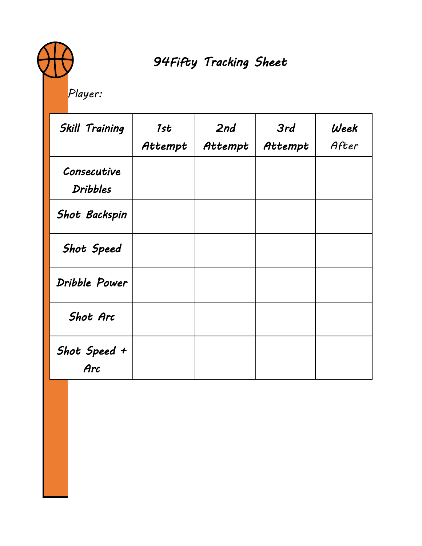# *94Fifty Tracking Sheet*

*Player:*

| <b>Skill Training</b>          | 1st<br>Attempt | 2nd<br>Attempt | 3rd<br>Attempt | Week<br>After |
|--------------------------------|----------------|----------------|----------------|---------------|
| Consecutive<br><b>Dribbles</b> |                |                |                |               |
| <b>Shot Backspin</b>           |                |                |                |               |
| <b>Shot Speed</b>              |                |                |                |               |
| Dribble Power                  |                |                |                |               |
| Shot Arc                       |                |                |                |               |
| Shot Speed +<br>Arc            |                |                |                |               |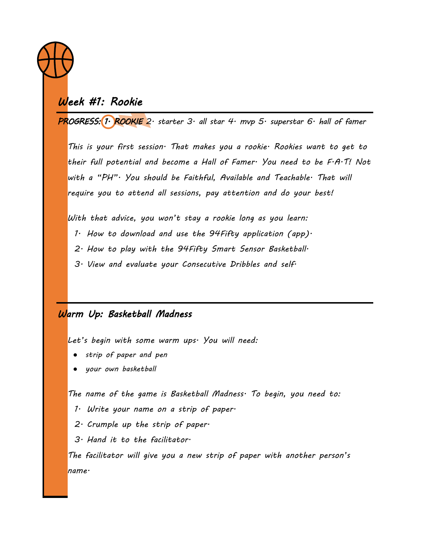

# *Week #1: Rookie*

*PROGRESS: 1. ROOKIE 2. starter 3. all star 4. mvp 5. superstar 6. hall of famer*

*This is your first session. That makes you a rookie. Rookies want to get to their full potential and become a Hall of Famer. You need to be F.A.T! Not with a "PH". You should be Faithful, Available and Teachable. That will require you to attend all sessions, pay attention and do your best!*

*With that advice, you won't stay a rookie long as you learn:*

- *1. How to download and use the 94Fifty application (app).*
- *2. How to play with the 94Fifty Smart Sensor Basketball.*
- *3. View and evaluate your Consecutive Dribbles and self.*

## *Warm Up: Basketball Madness*

*Let's begin with some warm ups. You will need:*

- *strip of paper and pen*
- *your own basketball*

*The name of the game is Basketball Madness. To begin, you need to:*

- *1. Write your name on a strip of paper.*
- *2. Crumple up the strip of paper.*
- *3. Hand it to the facilitator.*

*The facilitator will give you a new strip of paper with another person's name.*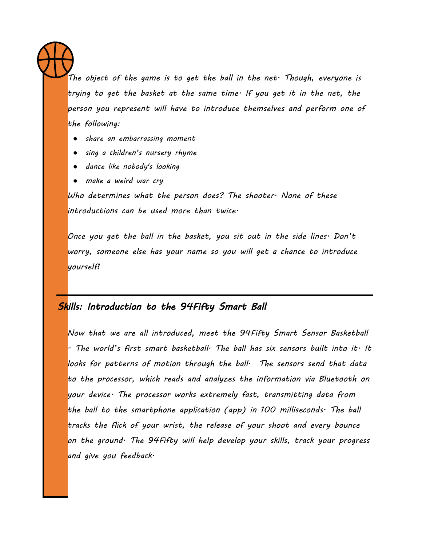*The object of the game is to get the ball in the net. Though, everyone is trying to get the basket at the same time. If you get it in the net, the person you represent will have to introduce themselves and perform one of the following:*

- *share an embarrassing moment*
- *sing a children's nursery rhyme*
- *dance like nobody's looking*
- *make a weird war cry*

*Who determines what the person does? The shooter. None of these introductions can be used more than twice.*

*Once you get the ball in the basket, you sit out in the side lines. Don't worry, someone else has your name so you will get a chance to introduce yourself!*

## *Skills: Introduction to the 94Fifty Smart Ball*

*Now that we are all introduced, meet the 94Fifty Smart Sensor Basketball - The world's first smart basketball. The ball has six sensors built into it. It looks for patterns of motion through the ball. The sensors send that data to the processor, which reads and analyzes the information via Bluetooth on your device. The processor works extremely fast, transmitting data from the ball to the smartphone application (app) in 100 milliseconds. The ball tracks the flick of your wrist, the release of your shoot and every bounce on the ground. The 94Fifty will help develop your skills, track your progress and give you feedback.*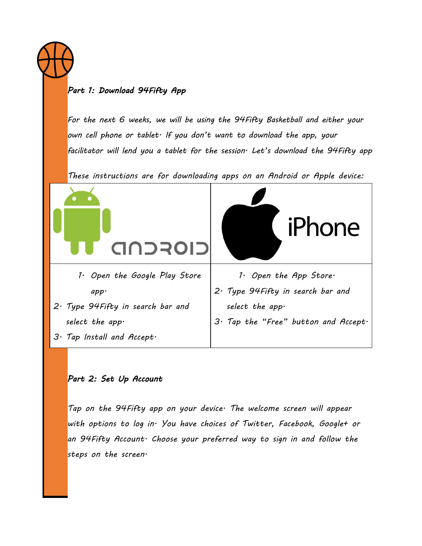

#### *Part 1: Download 94Fifty App*

*For the next 6 weeks, we will be using the 94Fifty Basketball and either your own cell phone or tablet. If you don't want to download the app, your facilitator will lend you a tablet for the session. Let's download the 94Fifty app*

*These instructions are for downloading apps on an Android or Apple device:*



#### *Part 2: Set Up Account*

*Tap on the 94Fifty app on your device. The welcome screen will appear with options to log in. You have choices of Twitter, Facebook, Google+ or an 94Fifty Account. Choose your preferred way to sign in and follow the steps on the screen.*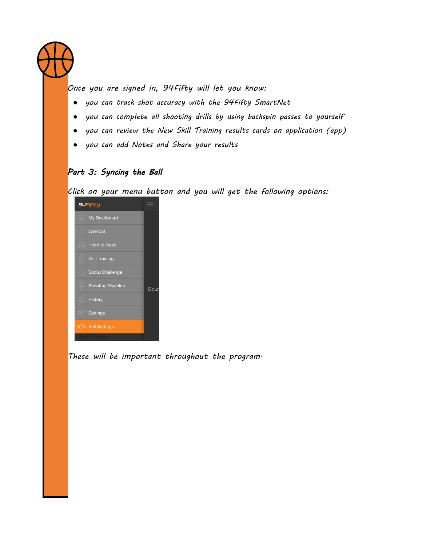*Once you are signed in, 94Fifty will let you know:*

- *you can track shot accuracy with the 94Fifty SmartNet*
- *you can complete all shooting drills by using backspin passes to yourself*
- *you can review the New Skill Training results cards on application (app)*
- *you can add Notes and Share your results*

## *Part 3: Syncing the Ball*

*Click on your menu button and you will get the following options:*

| 94FiFty                                                                             |      |
|-------------------------------------------------------------------------------------|------|
| $\Box$<br>My Dashboard                                                              |      |
| $=$ Workout                                                                         |      |
| <b>AA</b> Head to Head                                                              |      |
| Skill Training                                                                      |      |
| Social Challenge                                                                    |      |
| Shooting Machine                                                                    | Bour |
| $\left(\begin{matrix} \n\cdot & \cdot \\ \cdot & \cdot \end{matrix}\right)$ History |      |
| 8ettings                                                                            |      |
| ((1) Ball Settings                                                                  |      |
|                                                                                     |      |

*These will be important throughout the program.*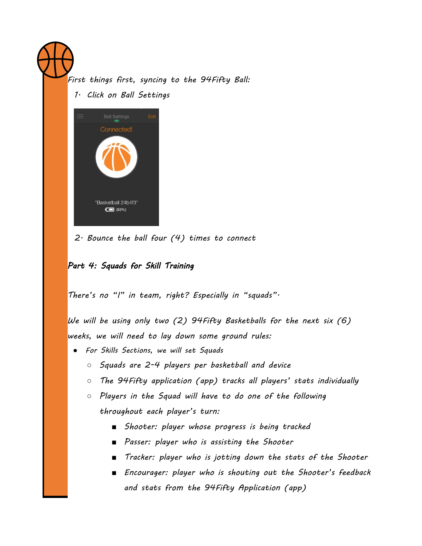*First things first, syncing to the 94Fifty Ball:*

*1. Click on Ball Settings*



*2. Bounce the ball four (4) times to connect* 

#### *Part 4: Squads for Skill Training*

*There's no "I" in team, right? Especially in "squads".*

*We will be using only two (2) 94Fifty Basketballs for the next six (6) weeks, we will need to lay down some ground rules:*

- *For Skills Sections, we will set Squads*
	- *Squads are 2-4 players per basketball and device*
	- *The 94Fifty application (app) tracks all players' stats individually*
	- *Players in the Squad will have to do one of the following throughout each player's turn:*
		- *Shooter: player whose progress is being tracked*
		- *Passer: player who is assisting the Shooter*
		- *Tracker: player who is jotting down the stats of the Shooter*
		- *Encourager: player who is shouting out the Shooter's feedback and stats from the 94Fifty Application (app)*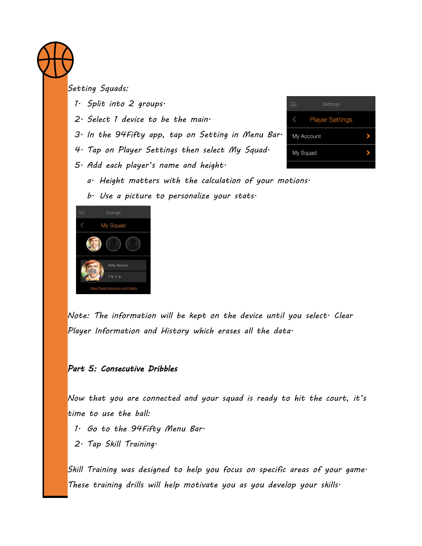

*Setting Squads:*

- *1. Split into 2 groups.*
- *2. Select 1 device to be the main.*
- *3. In the 94Fifty app, tap on Setting in Menu Bar.*
- *4. Tap on Player Settings then select My Squad.*
- *5. Add each player's name and height.*
	- *a. Height matters with the calculation of your motions.*
	- *b. Use a picture to personalize your stats.*



**Player Settings** My Account ٧ My Squad

*Note: The information will be kept on the device until you select. Clear Player Information and History which erases all the data.*

#### *Part 5: Consecutive Dribbles*

*Now that you are connected and your squad is ready to hit the court, it's time to use the ball:*

- *1. Go to the 94Fifty Menu Bar.*
- *2. Tap Skill Training.*

*Skill Training was designed to help you focus on specific areas of your game. These training drills will help motivate you as you develop your skills.*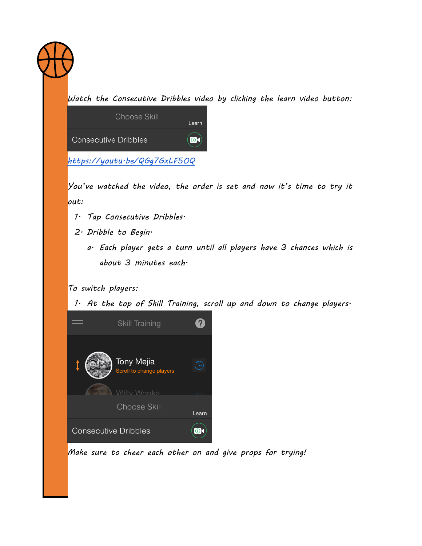

*Watch the Consecutive Dribbles video by clicking the learn video button:*

| Choose Skill                 | Learn     |
|------------------------------|-----------|
| <b>Consecutive Dribbles</b>  | $\bullet$ |
| https://youtu·be/QGg7GxLF50Q |           |

*You've watched the video, the order is set and now it's time to try it out:*

- *1. Tap Consecutive Dribbles.*
- *2. Dribble to Begin.*
	- *a. Each player gets a turn until all players have 3 chances which is about 3 minutes each.*

*To switch players:*

*1. At the top of Skill Training, scroll up and down to change players.*



*Make sure to cheer each other on and give props for trying!*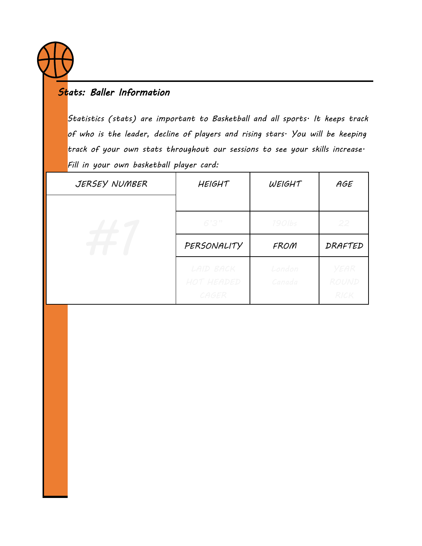

## *Stats: Baller Information*

*Statistics (stats) are important to Basketball and all sports. It keeps track of who is the leader, decline of players and rising stars. You will be keeping track of your own stats throughout our sessions to see your skills increase. Fill in your own basketball player card:*

| JERSEY NUMBER | <b>HEIGHT</b>                    | WEIGHT           | AGE                          |
|---------------|----------------------------------|------------------|------------------------------|
|               |                                  |                  |                              |
|               | 6'3''                            | 190lbs           | 22                           |
|               | PERSONALITY                      | FROM             | DRAFTED                      |
|               | LAID BACK<br>HOT HEADED<br>CAGER | London<br>Canada | YEAR<br>ROUND<br><b>RICK</b> |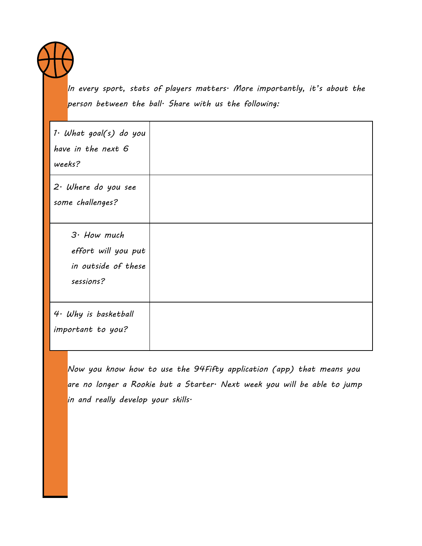

*In every sport, stats of players matters. More importantly, it's about the person between the ball. Share with us the following:*

| 1. What goal(s) do you<br>have in the next 6<br>weeks?                   |  |
|--------------------------------------------------------------------------|--|
| $2 \cdot$ Where do you see<br>some challenges?                           |  |
| $3.$ How much<br>effort will you put<br>in outside of these<br>sessions? |  |
| 4. Why is basketball<br>important to you?                                |  |

*Now you know how to use the 94Fifty application (app) that means you are no longer a Rookie but a Starter. Next week you will be able to jump in and really develop your skills.*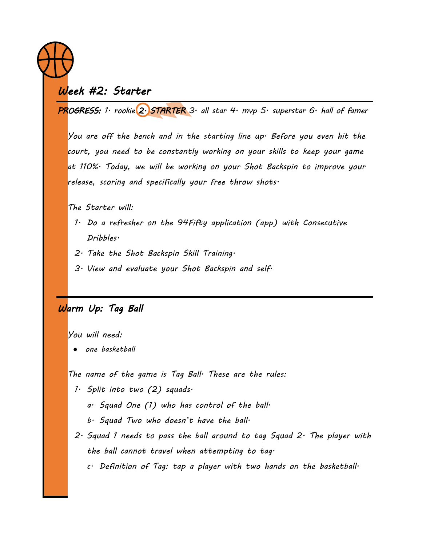

## *Week #2: Starter*

*PROGRESS: 1. rookie 2. STARTER 3. all star 4. mvp 5. superstar 6. hall of famer*

*You are off the bench and in the starting line up. Before you even hit the court, you need to be constantly working on your skills to keep your game at 110%. Today, we will be working on your Shot Backspin to improve your release, scoring and specifically your free throw shots.*

*The Starter will:*

- *1. Do a refresher on the 94Fifty application (app) with Consecutive Dribbles.*
- *2. Take the Shot Backspin Skill Training.*
- *3. View and evaluate your Shot Backspin and self.*

## *Warm Up: Tag Ball*

*You will need:*

● *one basketball*

*The name of the game is Tag Ball. These are the rules:*

- *1. Split into two (2) squads.*
	- *a. Squad One (1) who has control of the ball.*
	- *b. Squad Two who doesn't have the ball.*
- *2. Squad 1 needs to pass the ball around to tag Squad 2. The player with the ball cannot travel when attempting to tag.*
	- *c. Definition of Tag: tap a player with two hands on the basketball.*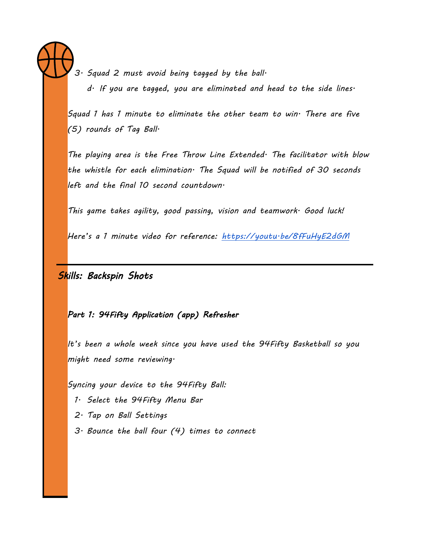*3. Squad 2 must avoid being tagged by the ball. d. If you are tagged, you are eliminated and head to the side lines.*

*Squad 1 has 1 minute to eliminate the other team to win. There are five (5) rounds of Tag Ball.*

*The playing area is the Free Throw Line Extended. The facilitator with blow the whistle for each elimination. The Squad will be notified of 30 seconds left and the final 10 second countdown.*

*This game takes agility, good passing, vision and teamwork. Good luck!*

*Here's a 1 minute video for reference: <https://youtu.be/8fFuHyE2dGM>*

## *Skills: Backspin Shots*

*Part 1: 94Fifty Application (app) Refresher* 

*It's been a whole week since you have used the 94Fifty Basketball so you might need some reviewing.*

*Syncing your device to the 94Fifty Ball:*

- *1. Select the 94Fifty Menu Bar*
- *2. Tap on Ball Settings*
- *3. Bounce the ball four (4) times to connect*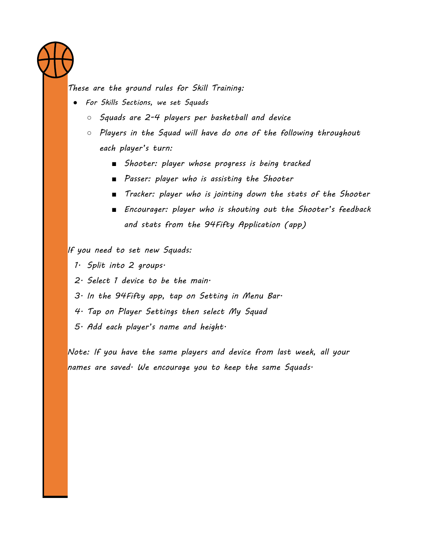

*These are the ground rules for Skill Training:*

- *For Skills Sections, we set Squads*
	- *Squads are 2-4 players per basketball and device*
	- *Players in the Squad will have do one of the following throughout each player's turn:*
		- *Shooter: player whose progress is being tracked*
		- *Passer: player who is assisting the Shooter*
		- *Tracker: player who is jointing down the stats of the Shooter*
		- *Encourager: player who is shouting out the Shooter's feedback and stats from the 94Fifty Application (app)*

*If you need to set new Squads:*

*1. Split into 2 groups.*

- *2. Select 1 device to be the main.*
- *3. In the 94Fifty app, tap on Setting in Menu Bar.*
- *4. Tap on Player Settings then select My Squad*
- *5. Add each player's name and height.*

*Note: If you have the same players and device from last week, all your names are saved. We encourage you to keep the same Squads.*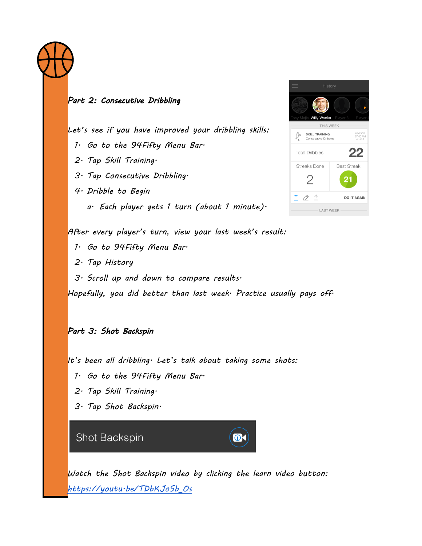

#### *Part 2: Consecutive Dribbling*

*Let's see if you have improved your dribbling skills:*

- *1. Go to the 94Fifty Menu Bar.*
- *2. Tap Skill Training.*
- *3. Tap Consecutive Dribbling.*
- *4. Dribble to Begin*
	- *a. Each player gets 1 turn (about 1 minute).*



*After every player's turn, view your last week's result:*

- *1. Go to 94Fifty Menu Bar.*
- *2. Tap History*
- *3. Scroll up and down to compare results.*

*Hopefully, you did better than last week. Practice usually pays off.*

#### *Part 3: Shot Backspin*

*It's been all dribbling. Let's talk about taking some shots:*

- *1. Go to the 94Fifty Menu Bar.*
- *2. Tap Skill Training.*
- *3. Tap Shot Backspin.*

Shot Backspin

*Watch the Shot Backspin video by clicking the learn video button: [https://youtu.be/TDbKJoSb\\_Os](https://youtu.be/TDbKJoSb_Os)*

 $\bullet$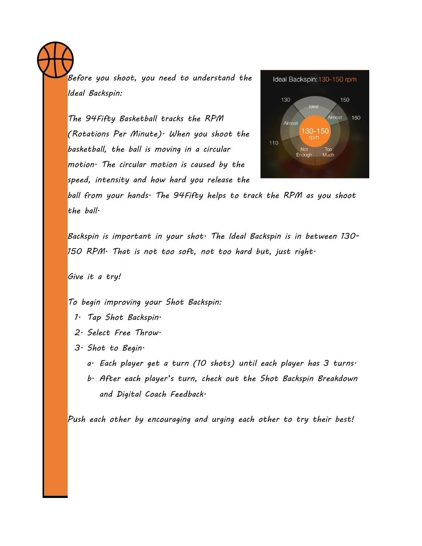*Before you shoot, you need to understand the Ideal Backspin:*

*The 94Fifty Basketball tracks the RPM (Rotations Per Minute). When you shoot the basketball, the ball is moving in a circular motion. The circular motion is caused by the speed, intensity and how hard you release the* 



*ball from your hands. The 94Fifty helps to track the RPM as you shoot the ball.*

*Backspin is important in your shot. The Ideal Backspin is in between 130- 150 RPM. That is not too soft, not too hard but, just right.*

*Give it a try!*

*To begin improving your Shot Backspin:*

- *1. Tap Shot Backspin.*
- *2. Select Free Throw.*
- *3. Shot to Begin.*
	- *a. Each player get a turn (10 shots) until each player has 3 turns.*
	- *b. After each player's turn, check out the Shot Backspin Breakdown and Digital Coach Feedback.*

*Push each other by encouraging and urging each other to try their best!*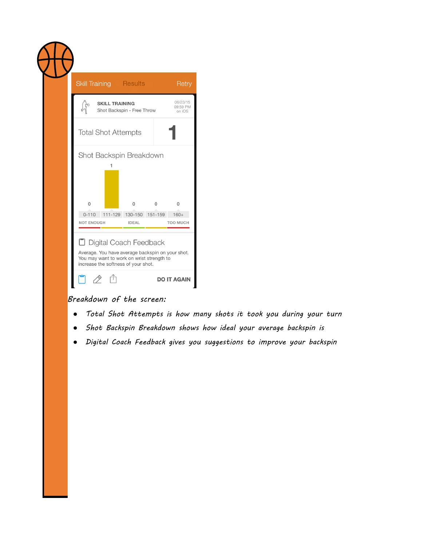| <b>Skill Training</b>        |                       | <b>Results</b>             |   | Retry                          |
|------------------------------|-----------------------|----------------------------|---|--------------------------------|
|                              | <b>SKILL TRAINING</b> | Shot Backspin - Free Throw |   | 06/23/15<br>09:59 PM<br>on iOS |
| <b>Total Shot Attempts</b>   |                       |                            |   |                                |
| Shot Backspin Breakdown<br>0 |                       | 0                          | 0 | $\mathbf{0}$                   |
|                              |                       | 111-129 130-150 151-159    |   | $160+$                         |

## *Breakdown of the screen:*

- *Total Shot Attempts is how many shots it took you during your turn*
- *Shot Backspin Breakdown shows how ideal your average backspin is*
- *Digital Coach Feedback gives you suggestions to improve your backspin*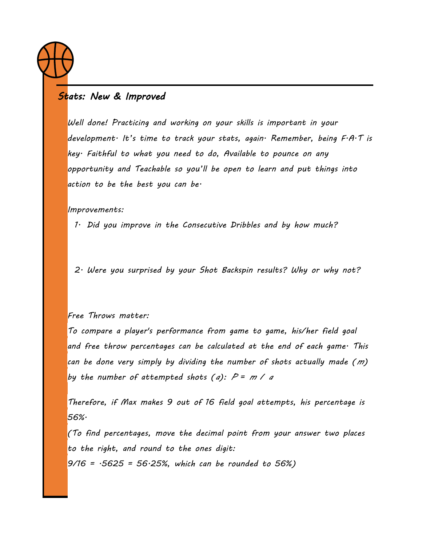

## *Stats: New & Improved*

*Well done! Practicing and working on your skills is important in your development. It's time to track your stats, again. Remember, being F.A.T is key. Faithful to what you need to do, Available to pounce on any opportunity and Teachable so you'll be open to learn and put things into action to be the best you can be.*

*Improvements:*

*1. Did you improve in the Consecutive Dribbles and by how much?*

*2. Were you surprised by your Shot Backspin results? Why or why not?*

#### *Free Throws matter:*

*To compare a player's performance from game to game, his/her field goal and free throw percentages can be calculated at the end of each game. This can be done very simply by dividing the number of shots actually made (m) by the number of attempted shots (a):*  $P = m / a$ 

*Therefore, if Max makes 9 out of 16 field goal attempts, his percentage is 56%.*

*(To find percentages, move the decimal point from your answer two places to the right, and round to the ones digit: 9/16 = .5625 = 56.25%, which can be rounded to 56%)*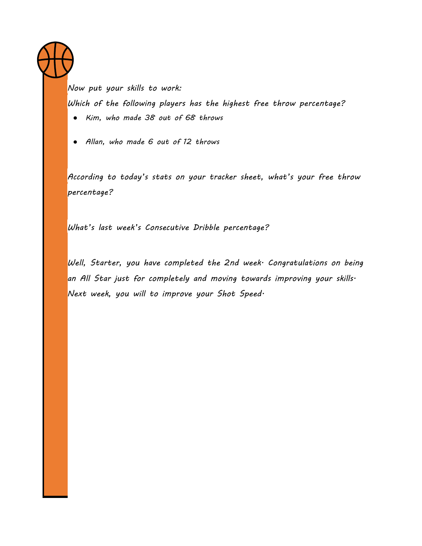*Now put your skills to work: Which of the following players has the highest free throw percentage?*

- *Kim, who made 38 out of 68 throws*
- *Allan, who made 6 out of 12 throws*

*According to today's stats on your tracker sheet, what's your free throw percentage?* 

*What's last week's Consecutive Dribble percentage?*

*Well, Starter, you have completed the 2nd week. Congratulations on being an All Star just for completely and moving towards improving your skills. Next week, you will to improve your Shot Speed.*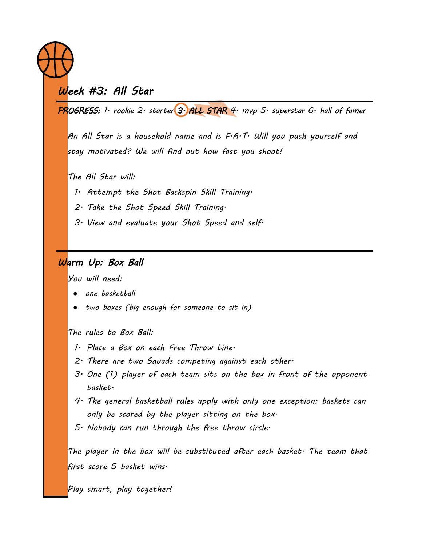

# *Week #3: All Star*

*PROGRESS: 1. rookie 2. starter 3. ALL STAR 4. mvp 5. superstar 6. hall of famer*

*An All Star is a household name and is F.A.T. Will you push yourself and stay motivated? We will find out how fast you shoot!*

*The All Star will:*

- *1. Attempt the Shot Backspin Skill Training.*
- *2. Take the Shot Speed Skill Training.*
- *3. View and evaluate your Shot Speed and self.*

## *Warm Up: Box Ball*

*You will need:*

- *one basketball*
- *two boxes (big enough for someone to sit in)*

*The rules to Box Ball:*

- *1. Place a Box on each Free Throw Line.*
- *2. There are two Squads competing against each other.*
- *3. One (1) player of each team sits on the box in front of the opponent basket.*
- *4. The general basketball rules apply with only one exception: baskets can only be scored by the player sitting on the box.*
- *5. Nobody can run through the free throw circle.*

*The player in the box will be substituted after each basket. The team that first score 5 basket wins.*

*Play smart, play together!*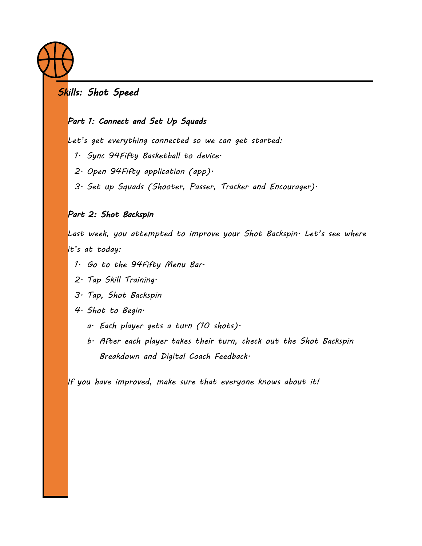

## *Skills: Shot Speed*

### *Part 1: Connect and Set Up Squads*

*Let's get everything connected so we can get started:*

- *1. Sync 94Fifty Basketball to device.*
- *2. Open 94Fifty application (app).*
- *3. Set up Squads (Shooter, Passer, Tracker and Encourager).*

#### *Part 2: Shot Backspin*

Last week, you attempted to improve your Shot Backspin<sup>.</sup> Let's see where *it's at today:*

- *1. Go to the 94Fifty Menu Bar.*
- *2. Tap Skill Training.*
- *3. Tap, Shot Backspin*
- *4. Shot to Begin.*
	- *a. Each player gets a turn (10 shots).*
	- *b. After each player takes their turn, check out the Shot Backspin Breakdown and Digital Coach Feedback.*

*If you have improved, make sure that everyone knows about it!*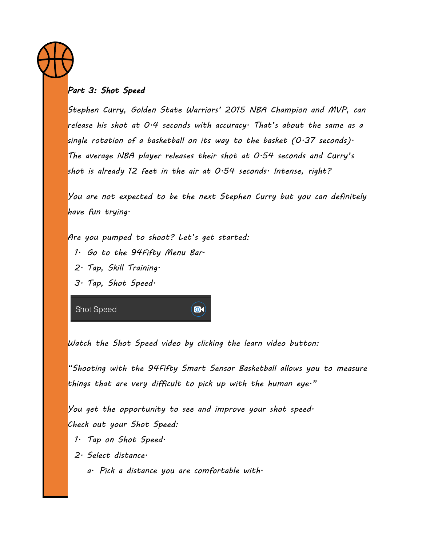

## *Part 3: Shot Speed*

*Stephen Curry, Golden State Warriors' 2015 NBA Champion and MVP, can release his shot at 0.4 seconds with accuracy. That's about the same as a single rotation of a basketball on its way to the basket (0.37 seconds). The average NBA player releases their shot at 0.54 seconds and Curry's shot is already 12 feet in the air at 0.54 seconds. Intense, right?*

*You are not expected to be the next Stephen Curry but you can definitely have fun trying.*

*Are you pumped to shoot? Let's get started:*

- *1. Go to the 94Fifty Menu Bar.*
- *2. Tap, Skill Training.*
- *3. Tap, Shot Speed.*

Shot Speed

 $\bullet$ 

*Watch the Shot Speed video by clicking the learn video button:*

*"Shooting with the 94Fifty Smart Sensor Basketball allows you to measure things that are very difficult to pick up with the human eye."*

*You get the opportunity to see and improve your shot speed. Check out your Shot Speed:*

- *1. Tap on Shot Speed.*
- *2. Select distance.*
	- *a. Pick a distance you are comfortable with.*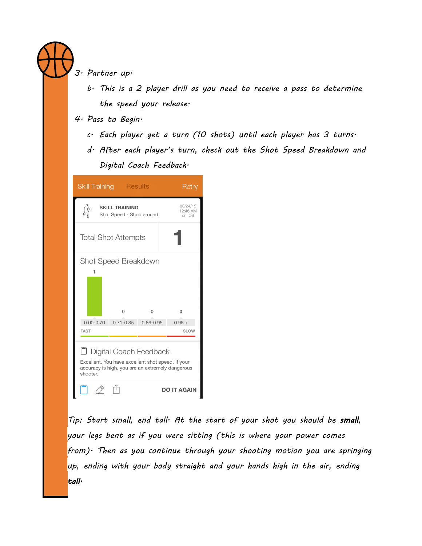

## *3. Partner up.*

- *b. This is a 2 player drill as you need to receive a pass to determine the speed your release.*
- *4. Pass to Begin.*
	- *c. Each player get a turn (10 shots) until each player has 3 turns.*
	- *d. After each player's turn, check out the Shot Speed Breakdown and Digital Coach Feedback.*

| <b>Skill Training Results</b>                                                                                                                 |                                                   |               | Retry                          |  |
|-----------------------------------------------------------------------------------------------------------------------------------------------|---------------------------------------------------|---------------|--------------------------------|--|
|                                                                                                                                               | <b>SKILL TRAINING</b><br>Shot Speed - Shootaround |               | 06/24/15<br>12:46 AM<br>on iOS |  |
| <b>Total Shot Attempts</b>                                                                                                                    |                                                   |               |                                |  |
| Shot Speed Breakdown<br>1<br>0<br>0<br>0                                                                                                      |                                                   |               |                                |  |
| $0.00 - 0.70$<br><b>FAST</b>                                                                                                                  | $0.71 - 0.85$                                     | $0.86 - 0.95$ | $0.96 +$<br><b>SLOW</b>        |  |
| D Digital Coach Feedback<br>Excellent. You have excellent shot speed. If your<br>accuracy is high, you are an extremely dangerous<br>shooter. |                                                   |               |                                |  |
|                                                                                                                                               |                                                   |               | <b>DO IT AGAIN</b>             |  |

*Tip: Start small, end tall. At the start of your shot you should be small, your legs bent as if you were sitting (this is where your power comes from). Then as you continue through your shooting motion you are springing up, ending with your body straight and your hands high in the air, ending tall.*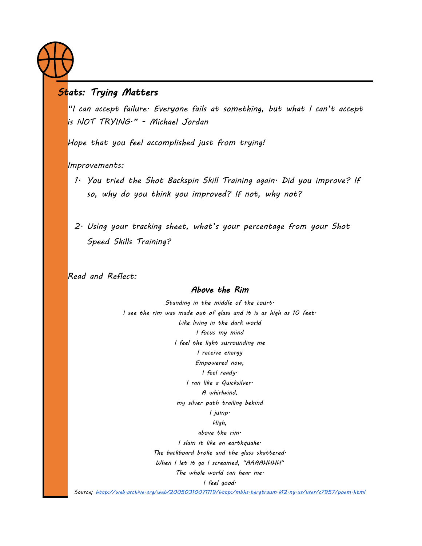

## *Stats: Trying Matters*

*"I can accept failure. Everyone fails at something, but what I can't accept is NOT TRYING." - Michael Jordan*

*Hope that you feel accomplished just from trying!*

*Improvements:*

- *1. You tried the Shot Backspin Skill Training again. Did you improve? If so, why do you think you improved? If not, why not?*
- *2. Using your tracking sheet, what's your percentage from your Shot Speed Skills Training?*

*Read and Reflect:* 

#### *Above the Rim*

*Standing in the middle of the court. I see the rim was made out of glass and it is as high as 10 feet. Like living in the dark world I focus my mind I feel the light surrounding me I receive energy Empowered now, I feel ready. I ran like a Quicksilver. A whirlwind, my silver path trailing behind I jump. High, above the rim. I slam it like an earthquake. The backboard broke and the glass shattered. When I let it go I screamed, "AAAAHHHH" The whole world can hear me. I feel good. Source;<http://web.archive.org/web/20050310071119/http:/mbhs.bergtraum.k12.ny.us/user/c7957/poem.html>*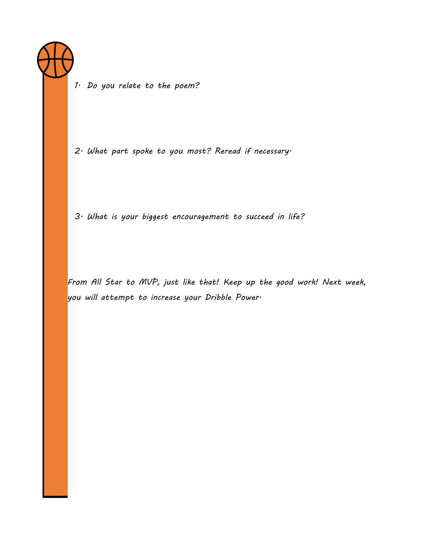

*1. Do you relate to the poem?*

*2. What part spoke to you most? Reread if necessary.*

*3. What is your biggest encouragement to succeed in life?*

*From All Star to MVP, just like that! Keep up the good work! Next week, you will attempt to increase your Dribble Power.*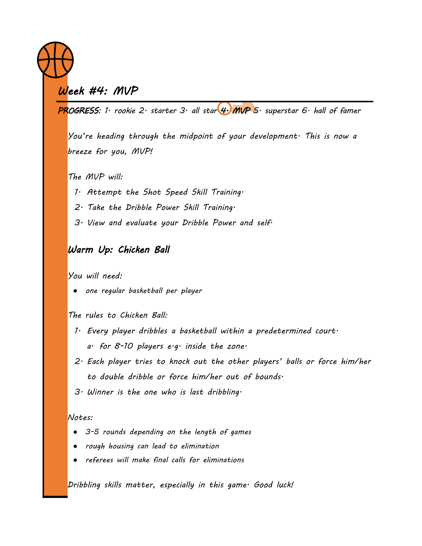# *Week #4: MVP*

*PROGRESS: 1. rookie 2. starter 3. all star 4. MVP 5. superstar 6. hall of famer* 

*You're heading through the midpoint of your development. This is now a breeze for you, MVP!*

*The MVP will:*

- *1. Attempt the Shot Speed Skill Training.*
- *2. Take the Dribble Power Skill Training.*
- *3. View and evaluate your Dribble Power and self.*

## *Warm Up: Chicken Ball*

*You will need:*

● *one regular basketball per player*

*The rules to Chicken Ball:*

- *1. Every player dribbles a basketball within a predetermined court. a. for 8-10 players e.g. inside the zone.*
- *2. Each player tries to knock out the other players' balls or force him/her to double dribble or force him/her out of bounds.*
- *3. Winner is the one who is last dribbling.*

*Notes:*

- *3-5 rounds depending on the length of games*
- *rough housing can lead to elimination*
- referees will make final calls for eliminations

*Dribbling skills matter, especially in this game. Good luck!*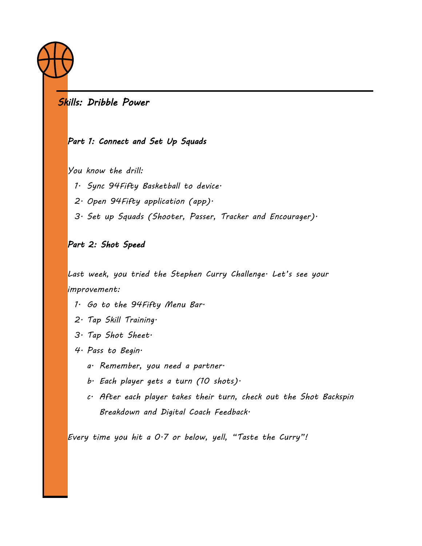

## *Skills: Dribble Power*

#### *Part 1: Connect and Set Up Squads*

*You know the drill:*

*1. Sync 94Fifty Basketball to device.*

*2. Open 94Fifty application (app).*

*3. Set up Squads (Shooter, Passer, Tracker and Encourager).*

## *Part 2: Shot Speed*

*Last week, you tried the Stephen Curry Challenge. Let's see your improvement:*

- *1. Go to the 94Fifty Menu Bar.*
- *2. Tap Skill Training.*
- *3. Tap Shot Sheet.*
- *4. Pass to Begin.*
	- *a. Remember, you need a partner.*
	- *b. Each player gets a turn (10 shots).*
	- *c. After each player takes their turn, check out the Shot Backspin Breakdown and Digital Coach Feedback.*

*Every time you hit a 0.7 or below, yell, "Taste the Curry"!*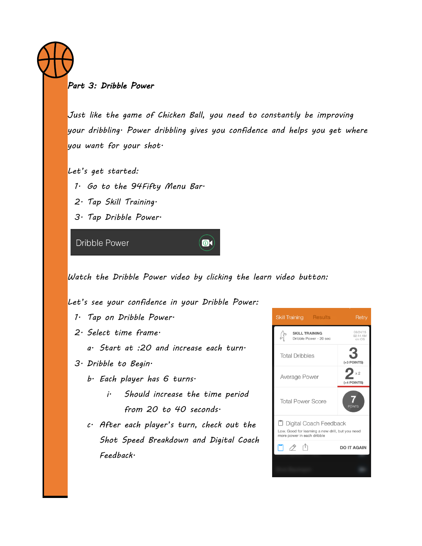#### *Part 3: Dribble Power*

*Just like the game of Chicken Ball, you need to constantly be improving your dribbling. Power dribbling gives you confidence and helps you get where you want for your shot.*

*Let's get started:*

*1. Go to the 94Fifty Menu Bar.*

*2. Tap Skill Training.*

*3. Tap Dribble Power.*

**Dribble Power** 

*Watch the Dribble Power video by clicking the learn video button:*

 $\bullet$ 

*Let's see your confidence in your Dribble Power:*

- *1. Tap on Dribble Power.*
- *2. Select time frame.*
	- *a. Start at :20 and increase each turn.*
- *3. Dribble to Begin.*
	- *b. Each player has 6 turns.*
		- *i. Should increase the time period from 20 to 40 seconds.*
	- *c. After each player's turn, check out the Shot Speed Breakdown and Digital Coach Feedback.*

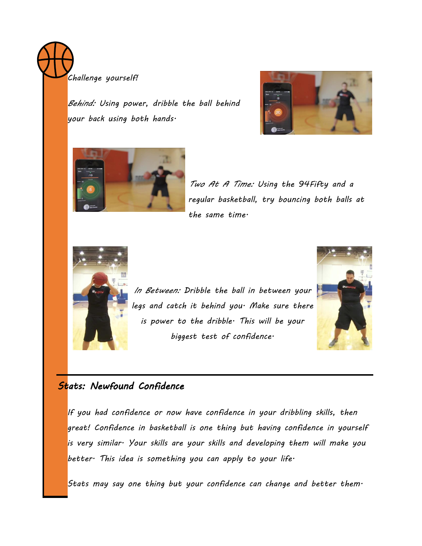*Challenge yourself!*

*Behind: Using power, dribble the ball behind your back using both hands.*





*Two At A Time: Using the 94Fifty and a regular basketball, try bouncing both balls at the same time.*



*In Between: Dribble the ball in between your legs and catch it behind you. Make sure there is power to the dribble. This will be your biggest test of confidence.*



## *Stats: Newfound Confidence*

*If you had confidence or now have confidence in your dribbling skills, then great! Confidence in basketball is one thing but having confidence in yourself is very similar. Your skills are your skills and developing them will make you better. This idea is something you can apply to your life.*

*Stats may say one thing but your confidence can change and better them.*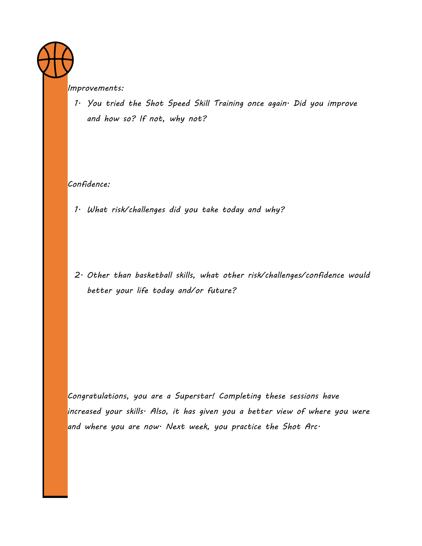*Improvements:*

*1. You tried the Shot Speed Skill Training once again. Did you improve and how so? If not, why not?*

*Confidence:*

*1. What risk/challenges did you take today and why?* 

*2. Other than basketball skills, what other risk/challenges/confidence would better your life today and/or future?* 

*Congratulations, you are a Superstar! Completing these sessions have increased your skills. Also, it has given you a better view of where you were and where you are now. Next week, you practice the Shot Arc.*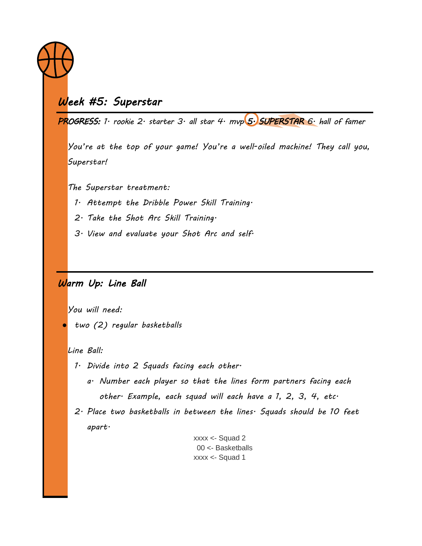

# *Week #5: Superstar*

*PROGRESS: 1. rookie 2. starter 3. all star 4. mvp 5. SUPERSTAR 6. hall of famer*

*You're at the top of your game! You're a well-oiled machine! They call you, Superstar!*

*The Superstar treatment:*

- *1. Attempt the Dribble Power Skill Training.*
- *2. Take the Shot Arc Skill Training.*
- *3. View and evaluate your Shot Arc and self.*

### *Warm Up: Line Ball*

*You will need:*

● *two (2) regular basketballs*

#### *Line Ball:*

- *1. Divide into 2 Squads facing each other.*
	- *a. Number each player so that the lines form partners facing each other. Example, each squad will each have a 1, 2, 3, 4, etc.*
- *2. Place two basketballs in between the lines. Squads should be 10 feet apart.*

xxxx <- Squad 2 00 <- Basketballs xxxx <- Squad 1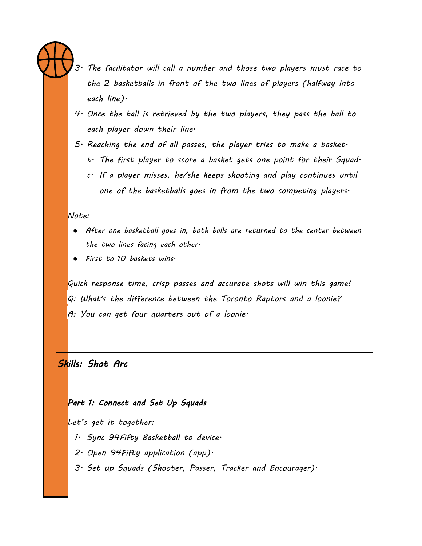

*3. The facilitator will call a number and those two players must race to the 2 basketballs in front of the two lines of players (halfway into each line).*

- *4. Once the ball is retrieved by the two players, they pass the ball to each player down their line.*
- *5. Reaching the end of all passes, the player tries to make a basket.* 
	- *b. The first player to score a basket gets one point for their Squad.*
	- *c. If a player misses, he/she keeps shooting and play continues until one of the basketballs goes in from the two competing players.*

*Note:*

- *After one basketball goes in, both balls are returned to the center between the two lines facing each other.*
- *First to 10 baskets wins.*

*Quick response time, crisp passes and accurate shots will win this game! Q: What's the difference between the Toronto Raptors and a loonie? A: You can get four quarters out of a loonie.*

## *Skills: Shot Arc*

#### *Part 1: Connect and Set Up Squads*

*Let's get it together:*

- *1. Sync 94Fifty Basketball to device.*
- *2. Open 94Fifty application (app).*
- *3. Set up Squads (Shooter, Passer, Tracker and Encourager).*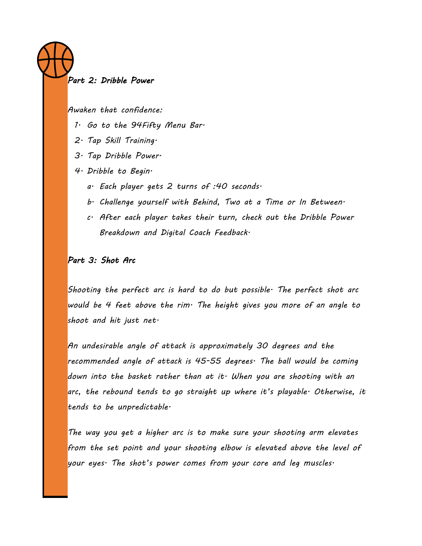#### *Part 2: Dribble Power*

*Awaken that confidence:*

- *1. Go to the 94Fifty Menu Bar.*
- *2. Tap Skill Training.*
- *3. Tap Dribble Power.*
- *4. Dribble to Begin.*
	- *a. Each player gets 2 turns of :40 seconds.*
	- *b. Challenge yourself with Behind, Two at a Time or In Between.*
	- *c. After each player takes their turn, check out the Dribble Power Breakdown and Digital Coach Feedback.*

#### *Part 3: Shot Arc*

*Shooting the perfect arc is hard to do but possible. The perfect shot arc would be 4 feet above the rim. The height gives you more of an angle to shoot and hit just net.*

*An undesirable angle of attack is approximately 30 degrees and the recommended angle of attack is 45-55 degrees. The ball would be coming down into the basket rather than at it. When you are shooting with an arc, the rebound tends to go straight up where it's playable. Otherwise, it tends to be unpredictable.*

*The way you get a higher arc is to make sure your shooting arm elevates from the set point and your shooting elbow is elevated above the level of your eyes. The shot's power comes from your core and leg muscles.*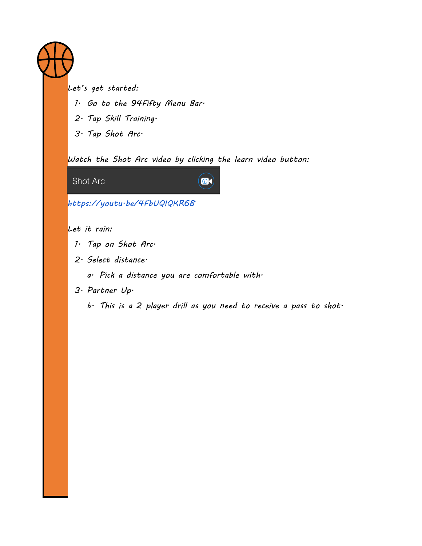

*Let's get started:*

- *1. Go to the 94Fifty Menu Bar.*
- *2. Tap Skill Training.*
- *3. Tap Shot Arc.*

*Watch the Shot Arc video by clicking the learn video button:*

 $\left( 0 \right)$ 

Shot Arc

*<https://youtu.be/4FbUQIQKR68>*

*Let it rain:*

- *1. Tap on Shot Arc.*
- *2. Select distance.*
	- *a. Pick a distance you are comfortable with.*
- *3. Partner Up.*
	- *b. This is a 2 player drill as you need to receive a pass to shot.*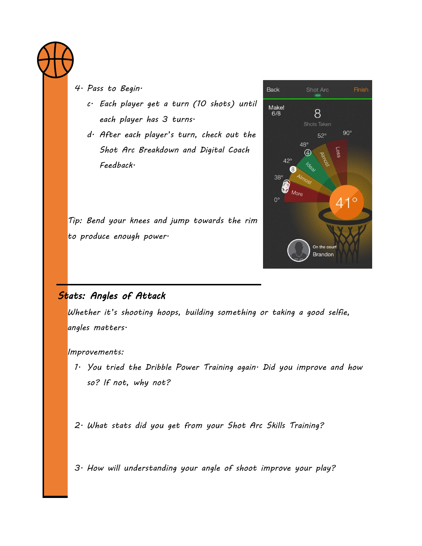

*4. Pass to Begin.*

*c. Each player get a turn (10 shots) until each player has 3 turns.*

*d. After each player's turn, check out the Shot Arc Breakdown and Digital Coach Feedback.*

*Tip: Bend your knees and jump towards the rim to produce enough power.*

## **Back** Finish Make!<br>6/8 8 Shots Taken  $90^\circ$  $52^\circ$  $48^\circ$  $\left( 4\right)$  $42^\circ$  $38^\circ$ More  $41^{\circ}$  $0^{\circ}$ On the court **Brandon**

## *Stats: Angles of Attack*

*Whether it's shooting hoops, building something or taking a good selfie, angles matters.* 

*Improvements:*

*1. You tried the Dribble Power Training again. Did you improve and how so? If not, why not?*

*2. What stats did you get from your Shot Arc Skills Training?*

*3. How will understanding your angle of shoot improve your play?*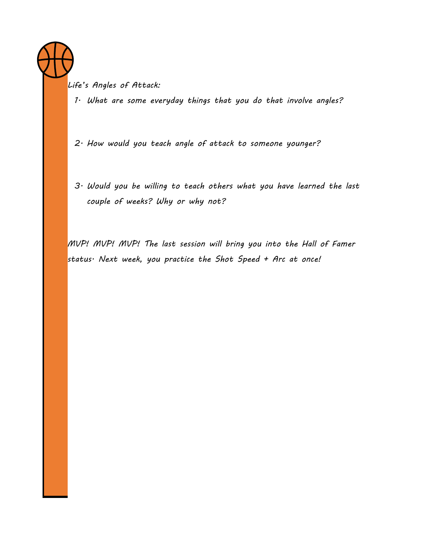*Life's Angles of Attack:*

*1. What are some everyday things that you do that involve angles?*

*2. How would you teach angle of attack to someone younger?*

*3. Would you be willing to teach others what you have learned the last couple of weeks? Why or why not?*

*MVP! MVP! MVP! The last session will bring you into the Hall of Famer status. Next week, you practice the Shot Speed + Arc at once!*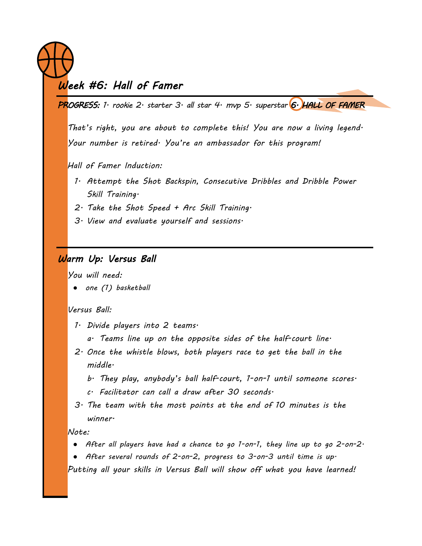## *Week #6: Hall of Famer*

*PROGRESS: 1. rookie 2. starter 3. all star 4. mvp 5. superstar 6. HALL OF FAMER* 

*That's right, you are about to complete this! You are now a living legend. Your number is retired. You're an ambassador for this program!*

*Hall of Famer Induction:*

- *1. Attempt the Shot Backspin, Consecutive Dribbles and Dribble Power Skill Training.*
- *2. Take the Shot Speed + Arc Skill Training.*
- *3. View and evaluate yourself and sessions.*

## *Warm Up: Versus Ball*

*You will need:*

● *one (1) basketball*

#### *Versus Ball:*

- *1. Divide players into 2 teams.*
	- *a. Teams line up on the opposite sides of the half-court line.*
- *2. Once the whistle blows, both players race to get the ball in the middle.* 
	- *b. They play, anybody's ball half-court, 1-on-1 until someone scores.*
	- *c. Facilitator can call a draw after 30 seconds.*
- *3. The team with the most points at the end of 10 minutes is the winner.*

*Note:*

- *After all players have had a chance to go 1-on-1, they line up to go 2-on-2.*
- *After several rounds of 2-on-2, progress to 3-on-3 until time is up.*

*Putting all your skills in Versus Ball will show off what you have learned!*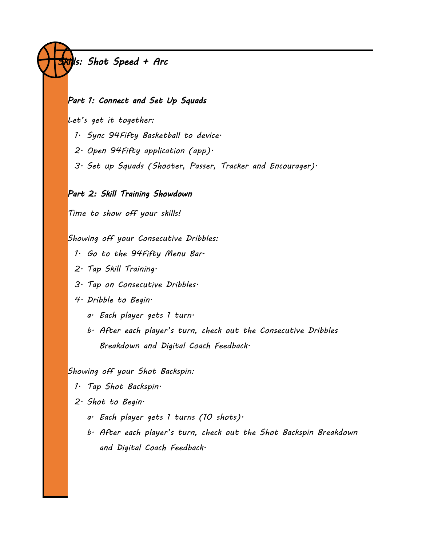# *Skills: Shot Speed + Arc*

#### *Part 1: Connect and Set Up Squads*

*Let's get it together:*

- *1. Sync 94Fifty Basketball to device.*
- *2. Open 94Fifty application (app).*
- *3. Set up Squads (Shooter, Passer, Tracker and Encourager).*

#### *Part 2: Skill Training Showdown*

*Time to show off your skills!*

#### *Showing off your Consecutive Dribbles:*

- *1. Go to the 94Fifty Menu Bar.*
- *2. Tap Skill Training.*
- *3. Tap on Consecutive Dribbles.*
- *4. Dribble to Begin.*
	- *a. Each player gets 1 turn.*
	- *b. After each player's turn, check out the Consecutive Dribbles Breakdown and Digital Coach Feedback.*

*Showing off your Shot Backspin:*

- *1. Tap Shot Backspin.*
- *2. Shot to Begin.*
	- *a. Each player gets 1 turns (10 shots).*
	- *b. After each player's turn, check out the Shot Backspin Breakdown and Digital Coach Feedback.*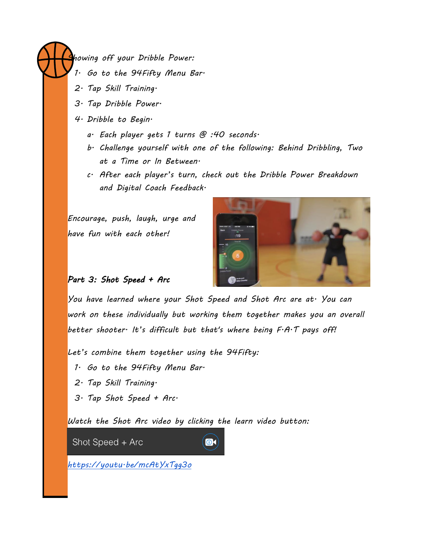*Showing off your Dribble Power:*

- *1. Go to the 94Fifty Menu Bar.*
- *2. Tap Skill Training.*
- *3. Tap Dribble Power.*
- *4. Dribble to Begin.*
	- *a. Each player gets 1 turns @ :40 seconds.*
	- *b. Challenge yourself with one of the following: Behind Dribbling, Two at a Time or In Between.*
	- *c. After each player's turn, check out the Dribble Power Breakdown and Digital Coach Feedback.*

*Encourage, push, laugh, urge and have fun with each other!*



#### *Part 3: Shot Speed + Arc*

*You have learned where your Shot Speed and Shot Arc are at. You can work on these individually but working them together makes you an overall better shooter. It's difficult but that's where being F.A.T pays off!*

*Let's combine them together using the 94Fifty:*

*1. Go to the 94Fifty Menu Bar.*

- *2. Tap Skill Training.*
- *3. Tap Shot Speed + Arc.*

*Watch the Shot Arc video by clicking the learn video button:*

 $\bigcirc$ k)

Shot Speed + Arc

*<https://youtu.be/mcAtYxTgg3o>*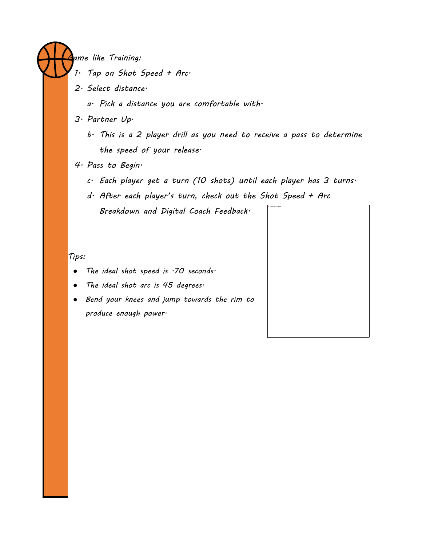*Game like Training:*

- *1. Tap on Shot Speed + Arc.*
- *2. Select distance.*
	- *a. Pick a distance you are comfortable with.*
- *3. Partner Up.*
	- *b. This is a 2 player drill as you need to receive a pass to determine the speed of your release.*
- *4. Pass to Begin.*
	- *c. Each player get a turn (10 shots) until each player has 3 turns.*

*d. After each player's turn, check out the Shot Speed + Arc Breakdown and Digital Coach Feedback.*

#### *Tips:*

- *The ideal shot speed is .70 seconds.*
- *The ideal shot arc is 45 degrees.*
- *Bend your knees and jump towards the rim to produce enough power.*